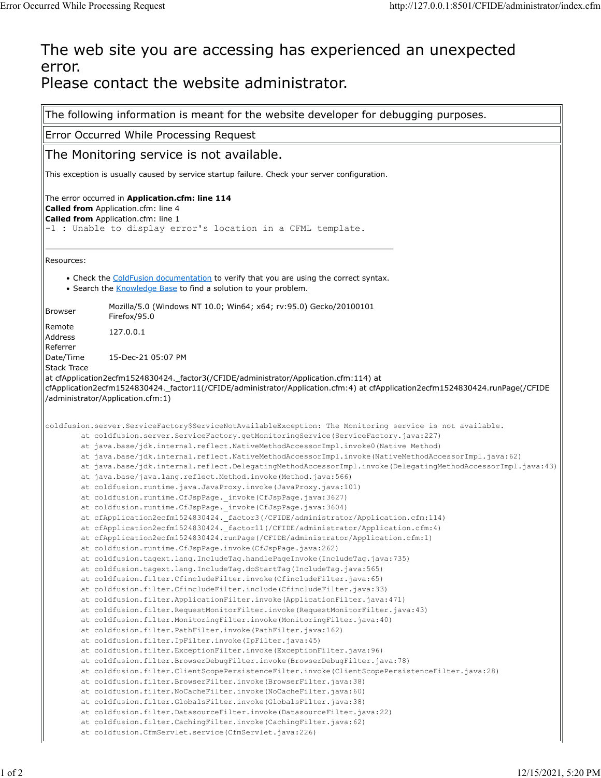## The web site you are accessing has experienced an unexpected error. Please contact the website administrator.

The following information is meant for the website developer for debugging purposes. Error Occurred While Processing Request The Monitoring service is not available. This exception is usually caused by service startup failure. Check your server configuration. The error occurred in **Application.cfm: line 114 Called from** Application.cfm: line 4 **Called from** Application.cfm: line 1 -1 : Unable to display error's location in a CFML template. Resources: • Check the [ColdFusion documentation](http://www.adobe.com/go/prod_doc) to verify that you are using the correct syntax. • Search the [Knowledge Base](http://www.adobe.com/go/prod_support/) to find a solution to your problem. Browser Mozilla/5.0 (Windows NT 10.0; Win64; x64; rv:95.0) Gecko/20100101 Firefox/95.0 Remote Reflique<br>Address 127.0.0.1 Referrer Date/Time 15-Dec-21 05:07 PM Stack Trace at cfApplication2ecfm1524830424.\_factor3(/CFIDE/administrator/Application.cfm:114) at cfApplication2ecfm1524830424.\_factor11(/CFIDE/administrator/Application.cfm:4) at cfApplication2ecfm1524830424.runPage(/CFIDE /administrator/Application.cfm:1) coldfusion.server.ServiceFactory\$ServiceNotAvailableException: The Monitoring service is not available. at coldfusion.server.ServiceFactory.getMonitoringService(ServiceFactory.java:227) at java.base/jdk.internal.reflect.NativeMethodAccessorImpl.invoke0(Native Method) at java.base/jdk.internal.reflect.NativeMethodAccessorImpl.invoke(NativeMethodAccessorImpl.java:62) at java.base/jdk.internal.reflect.DelegatingMethodAccessorImpl.invoke(DelegatingMethodAccessorImpl.java:43) at java.base/java.lang.reflect.Method.invoke(Method.java:566) at coldfusion.runtime.java.JavaProxy.invoke(JavaProxy.java:101) at coldfusion.runtime.CfJspPage.\_invoke(CfJspPage.java:3627) at coldfusion.runtime.CfJspPage.\_invoke(CfJspPage.java:3604) at cfApplication2ecfm1524830424.\_factor3(/CFIDE/administrator/Application.cfm:114) at cfApplication2ecfm1524830424.\_factor11(/CFIDE/administrator/Application.cfm:4) at cfApplication2ecfm1524830424.runPage(/CFIDE/administrator/Application.cfm:1) at coldfusion.runtime.CfJspPage.invoke(CfJspPage.java:262) at coldfusion.tagext.lang.IncludeTag.handlePageInvoke(IncludeTag.java:735) at coldfusion.tagext.lang.IncludeTag.doStartTag(IncludeTag.java:565) at coldfusion.filter.CfincludeFilter.invoke(CfincludeFilter.java:65) at coldfusion.filter.CfincludeFilter.include(CfincludeFilter.java:33) at coldfusion.filter.ApplicationFilter.invoke(ApplicationFilter.java:471) at coldfusion.filter.RequestMonitorFilter.invoke(RequestMonitorFilter.java:43) at coldfusion.filter.MonitoringFilter.invoke(MonitoringFilter.java:40) at coldfusion.filter.PathFilter.invoke(PathFilter.java:162) at coldfusion.filter.IpFilter.invoke(IpFilter.java:45) at coldfusion.filter.ExceptionFilter.invoke(ExceptionFilter.java:96) at coldfusion.filter.BrowserDebugFilter.invoke(BrowserDebugFilter.java:78) at coldfusion.filter.ClientScopePersistenceFilter.invoke(ClientScopePersistenceFilter.java:28) at coldfusion.filter.BrowserFilter.invoke(BrowserFilter.java:38) at coldfusion.filter.NoCacheFilter.invoke(NoCacheFilter.java:60) at coldfusion.filter.GlobalsFilter.invoke(GlobalsFilter.java:38) at coldfusion.filter.DatasourceFilter.invoke(DatasourceFilter.java:22) at coldfusion.filter.CachingFilter.invoke(CachingFilter.java:62) at coldfusion.CfmServlet.service(CfmServlet.java:226)